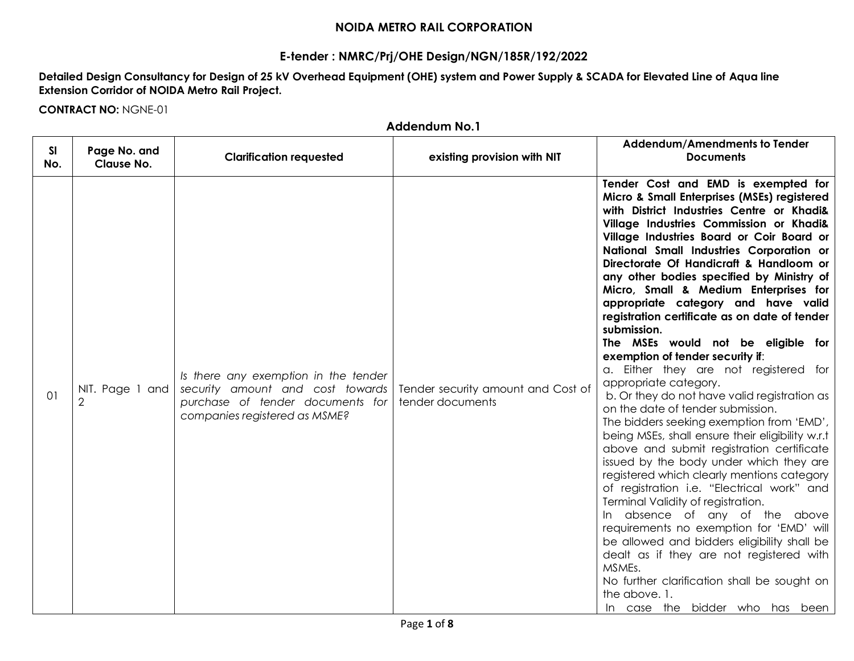## **NOIDA METRO RAIL CORPORATION**

## **E-tender : NMRC/Prj/OHE Design/NGN/185R/192/2022**

**Detailed Design Consultancy for Design of 25 kV Overhead Equipment (OHE) system and Power Supply & SCADA for Elevated Line of Aqua line Extension Corridor of NOIDA Metro Rail Project.**

**CONTRACT NO:** NGNE-01

|                  | <b>Addendum No.1</b>              |                                                                                                                                               |                                                        |                                                                                                                                                                                                                                                                                                                                                                                                                                                                                                                                                                                                                                                                                                                                                                                                                                                                                                                                                                                                                                                                                                                                                                                                                                                                                                                                                               |  |  |  |  |
|------------------|-----------------------------------|-----------------------------------------------------------------------------------------------------------------------------------------------|--------------------------------------------------------|---------------------------------------------------------------------------------------------------------------------------------------------------------------------------------------------------------------------------------------------------------------------------------------------------------------------------------------------------------------------------------------------------------------------------------------------------------------------------------------------------------------------------------------------------------------------------------------------------------------------------------------------------------------------------------------------------------------------------------------------------------------------------------------------------------------------------------------------------------------------------------------------------------------------------------------------------------------------------------------------------------------------------------------------------------------------------------------------------------------------------------------------------------------------------------------------------------------------------------------------------------------------------------------------------------------------------------------------------------------|--|--|--|--|
| <b>SI</b><br>No. | Page No. and<br><b>Clause No.</b> | <b>Clarification requested</b>                                                                                                                | existing provision with NIT                            | Addendum/Amendments to Tender<br><b>Documents</b>                                                                                                                                                                                                                                                                                                                                                                                                                                                                                                                                                                                                                                                                                                                                                                                                                                                                                                                                                                                                                                                                                                                                                                                                                                                                                                             |  |  |  |  |
| 01               | NIT. Page 1 and<br>$\overline{2}$ | Is there any exemption in the tender<br>security amount and cost towards<br>purchase of tender documents for<br>companies registered as MSME? | Tender security amount and Cost of<br>tender documents | Tender Cost and EMD is exempted for<br>Micro & Small Enterprises (MSEs) registered<br>with District Industries Centre or Khadi&<br>Village Industries Commission or Khadi&<br>Village Industries Board or Coir Board or<br>National Small Industries Corporation or<br>Directorate Of Handicraft & Handloom or<br>any other bodies specified by Ministry of<br>Micro, Small & Medium Enterprises for<br>appropriate category and have valid<br>registration certificate as on date of tender<br>submission.<br>The MSEs would not be eligible for<br>exemption of tender security if:<br>a. Either they are not registered for<br>appropriate category.<br>b. Or they do not have valid registration as<br>on the date of tender submission.<br>The bidders seeking exemption from 'EMD',<br>being MSEs, shall ensure their eligibility w.r.t<br>above and submit registration certificate<br>issued by the body under which they are<br>registered which clearly mentions category<br>of registration i.e. "Electrical work" and<br>Terminal Validity of registration.<br>In absence of any of the above<br>requirements no exemption for 'EMD' will<br>be allowed and bidders eligibility shall be<br>dealt as if they are not registered with<br>MSMEs.<br>No further clarification shall be sought on<br>the above. 1.<br>In case the bidder who has been |  |  |  |  |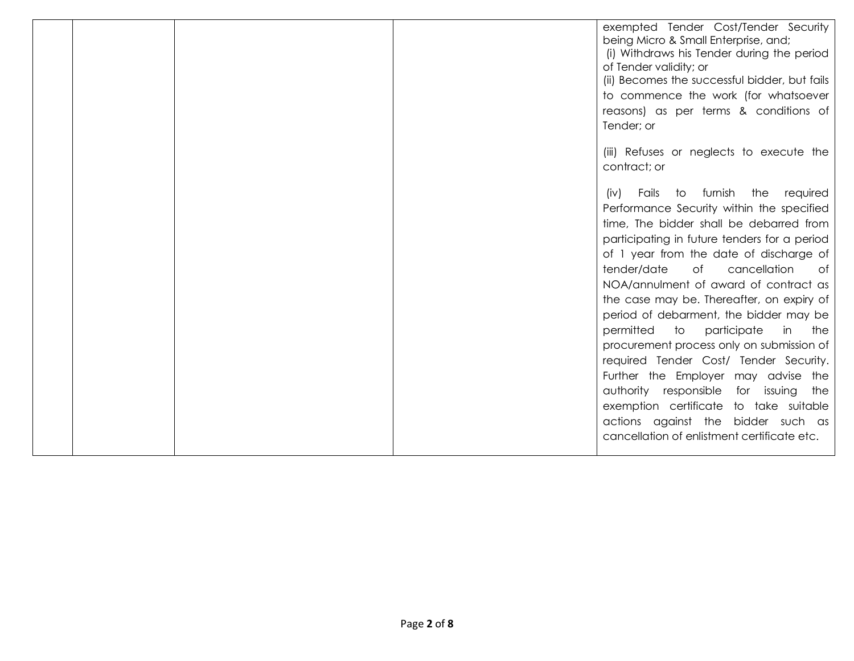|  | exempted Tender Cost/Tender Security<br>being Micro & Small Enterprise, and;<br>(i) Withdraws his Tender during the period<br>of Tender validity; or<br>(ii) Becomes the successful bidder, but fails<br>to commence the work (for whatsoever<br>reasons) as per terms & conditions of<br>Tender; or                                                                                                                                                                                                                                                                                                                                                                   |
|--|------------------------------------------------------------------------------------------------------------------------------------------------------------------------------------------------------------------------------------------------------------------------------------------------------------------------------------------------------------------------------------------------------------------------------------------------------------------------------------------------------------------------------------------------------------------------------------------------------------------------------------------------------------------------|
|  | (iii) Refuses or neglects to execute the<br>contract; or                                                                                                                                                                                                                                                                                                                                                                                                                                                                                                                                                                                                               |
|  | Fails to furnish the<br>required<br>(iv)<br>Performance Security within the specified<br>time, The bidder shall be debarred from<br>participating in future tenders for a period<br>of 1 year from the date of discharge of<br>tender/date<br>of<br>cancellation<br>of<br>NOA/annulment of award of contract as<br>the case may be. Thereafter, on expiry of<br>period of debarment, the bidder may be<br>permitted to participate<br>in<br>the<br>procurement process only on submission of<br>required Tender Cost/ Tender Security.<br>Further the Employer may advise the<br>authority responsible<br>for issuing<br>the<br>exemption certificate to take suitable |
|  | actions against the bidder such as<br>cancellation of enlistment certificate etc.                                                                                                                                                                                                                                                                                                                                                                                                                                                                                                                                                                                      |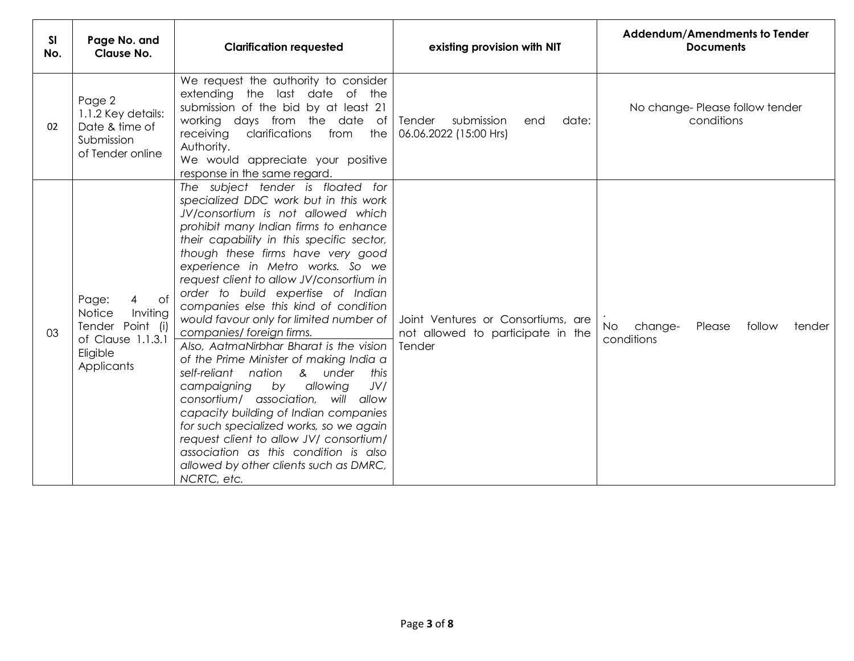| SI<br>No. | Page No. and<br><b>Clause No.</b>                                                                         | <b>Clarification requested</b>                                                                                                                                                                                                                                                                                                                                                                                                                                                                                                                                                                                                                                                                                                                                                                                                                                                                                                    | existing provision with NIT                                                       | Addendum/Amendments to Tender<br><b>Documents</b>                |
|-----------|-----------------------------------------------------------------------------------------------------------|-----------------------------------------------------------------------------------------------------------------------------------------------------------------------------------------------------------------------------------------------------------------------------------------------------------------------------------------------------------------------------------------------------------------------------------------------------------------------------------------------------------------------------------------------------------------------------------------------------------------------------------------------------------------------------------------------------------------------------------------------------------------------------------------------------------------------------------------------------------------------------------------------------------------------------------|-----------------------------------------------------------------------------------|------------------------------------------------------------------|
| 02        | Page 2<br>1.1.2 Key details:<br>Date & time of<br>Submission<br>of Tender online                          | We request the authority to consider<br>extending the last date of the<br>submission of the bid by at least 21<br>working days from the date of<br>receiving clarifications from<br>the<br>Authority.<br>We would appreciate your positive<br>response in the same regard.                                                                                                                                                                                                                                                                                                                                                                                                                                                                                                                                                                                                                                                        | Tender<br>submission<br>date:<br>end<br>06.06.2022 (15:00 Hrs)                    | No change-Please follow tender<br>conditions                     |
| 03        | Page:<br>0f<br>4<br>Notice<br>Inviting<br>Tender Point (i)<br>of Clause 1.1.3.1<br>Eligible<br>Applicants | The subject tender is floated for<br>specialized DDC work but in this work<br>JV/consortium is not allowed which<br>prohibit many Indian firms to enhance<br>their capability in this specific sector,<br>though these firms have very good<br>experience in Metro works. So we<br>request client to allow JV/consortium in<br>order to build expertise of Indian<br>companies else this kind of condition<br>would favour only for limited number of<br>companies/foreign firms.<br>Also, AatmaNirbhar Bharat is the vision<br>of the Prime Minister of making India a<br>self-reliant nation<br>& under<br>this<br>allowing<br>JV/<br>campaigning<br>by<br>consortium/ association, will allow<br>capacity building of Indian companies<br>for such specialized works, so we again<br>request client to allow JV/ consortium/<br>association as this condition is also<br>allowed by other clients such as DMRC,<br>NCRTC, etc. | Joint Ventures or Consortiums, are<br>not allowed to participate in the<br>Tender | <b>No</b><br>change-<br>Please<br>follow<br>tender<br>conditions |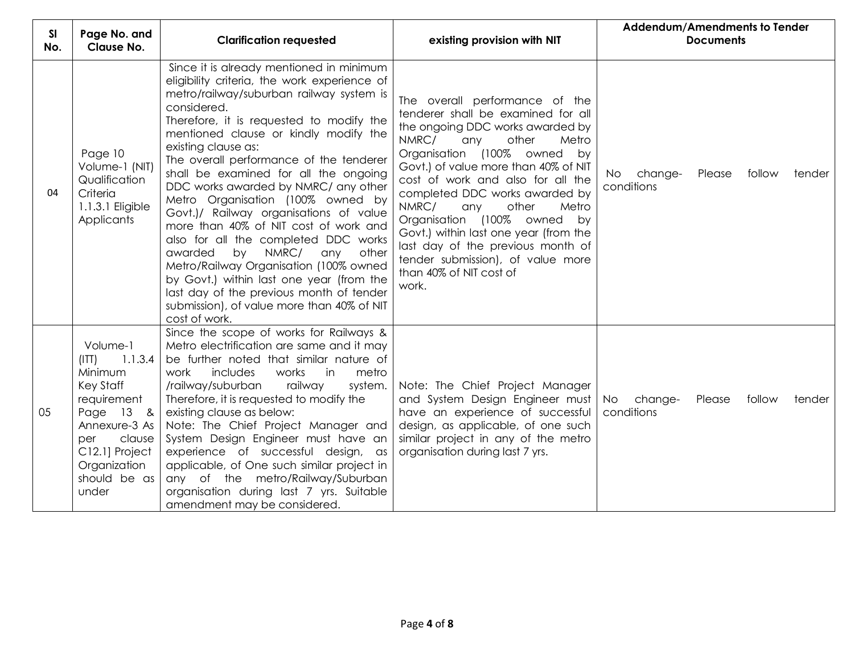| <b>SI</b><br>No. | Page No. and<br>Clause No.                                                                                                                                                    | <b>Clarification requested</b>                                                                                                                                                                                                                                                                                                                                                                                                                                                                                                                                                                                                                                                                                                                                                                      | existing provision with NIT                                                                                                                                                                                                                                                                                                                                                                                                                                                                                         | Addendum/Amendments to Tender<br><b>Documents</b>         |  |  |  |  |
|------------------|-------------------------------------------------------------------------------------------------------------------------------------------------------------------------------|-----------------------------------------------------------------------------------------------------------------------------------------------------------------------------------------------------------------------------------------------------------------------------------------------------------------------------------------------------------------------------------------------------------------------------------------------------------------------------------------------------------------------------------------------------------------------------------------------------------------------------------------------------------------------------------------------------------------------------------------------------------------------------------------------------|---------------------------------------------------------------------------------------------------------------------------------------------------------------------------------------------------------------------------------------------------------------------------------------------------------------------------------------------------------------------------------------------------------------------------------------------------------------------------------------------------------------------|-----------------------------------------------------------|--|--|--|--|
| 04               | Page 10<br>Volume-1 (NIT)<br>Qualification<br>Criteria<br>1.1.3.1 Eligible<br>Applicants                                                                                      | Since it is already mentioned in minimum<br>eligibility criteria, the work experience of<br>metro/railway/suburban railway system is<br>considered.<br>Therefore, it is requested to modify the<br>mentioned clause or kindly modify the<br>existing clause as:<br>The overall performance of the tenderer<br>shall be examined for all the ongoing<br>DDC works awarded by NMRC/ any other<br>Metro Organisation (100% owned by<br>Govt.)/ Railway organisations of value<br>more than 40% of NIT cost of work and<br>also for all the completed DDC works<br>by NMRC/<br>awarded<br>any<br>other<br>Metro/Railway Organisation (100% owned<br>by Govt.) within last one year (from the<br>last day of the previous month of tender<br>submission), of value more than 40% of NIT<br>cost of work. | The overall performance of the<br>tenderer shall be examined for all<br>the ongoing DDC works awarded by<br>NMRC/<br>other<br>any<br>Metro<br>Organisation (100% owned by<br>Govt.) of value more than 40% of NIT<br>cost of work and also for all the<br>completed DDC works awarded by<br>NMRC/<br>other<br>Metro<br>any<br>Organisation (100% owned<br>by<br>Govt.) within last one year (from the<br>last day of the previous month of<br>tender submission), of value more<br>than 40% of NIT cost of<br>work. | change-<br>Please<br>follow<br>tender<br>No<br>conditions |  |  |  |  |
| 05               | Volume-1<br>1.1.3.4<br>(ITT)<br>Minimum<br>Key Staff<br>requirement<br>Page 13 &<br>Annexure-3 As<br>clause<br>per<br>C12.1] Project<br>Organization<br>should be as<br>under | Since the scope of works for Railways &<br>Metro electrification are same and it may<br>be further noted that similar nature of<br>work<br>includes<br>works<br>in<br>metro<br>/railway/suburban<br>railway<br>system.<br>Therefore, it is requested to modify the<br>existing clause as below:<br>Note: The Chief Project Manager and<br>System Design Engineer must have an<br>experience of successful design, as<br>applicable, of One such similar project in<br>any of the metro/Railway/Suburban<br>organisation during last 7 yrs. Suitable<br>amendment may be considered.                                                                                                                                                                                                                 | Note: The Chief Project Manager<br>and System Design Engineer must<br>have an experience of successful<br>design, as applicable, of one such<br>similar project in any of the metro<br>organisation during last 7 yrs.                                                                                                                                                                                                                                                                                              | No<br>change-<br>Please<br>follow<br>tender<br>conditions |  |  |  |  |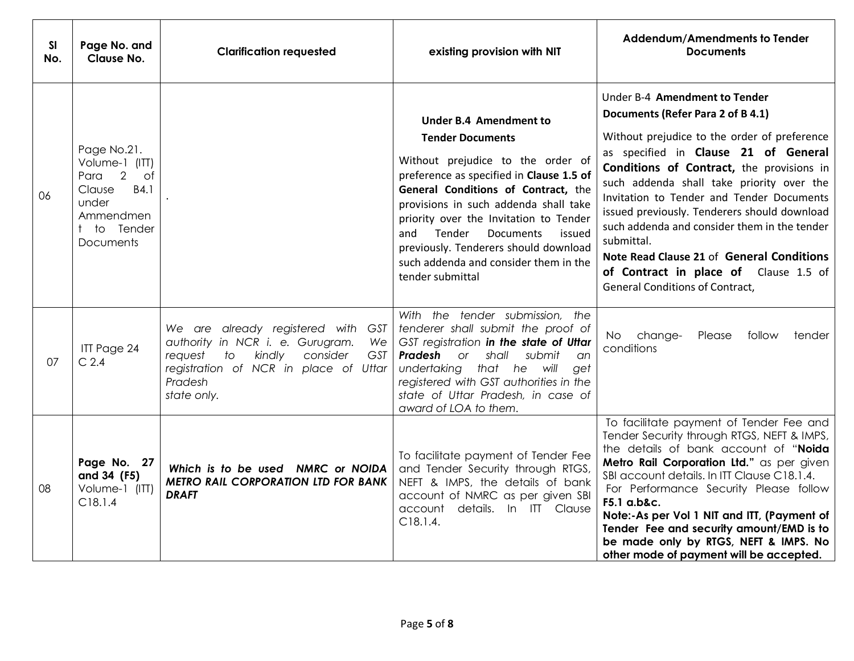| SI<br>No. | Page No. and<br><b>Clause No.</b>                                                                                      | <b>Clarification requested</b>                                                                                                                                                                                   | existing provision with NIT                                                                                                                                                                                                                                                                                                                                                                                              | Addendum/Amendments to Tender<br><b>Documents</b>                                                                                                                                                                                                                                                                                                                                                                                                                                                                                               |
|-----------|------------------------------------------------------------------------------------------------------------------------|------------------------------------------------------------------------------------------------------------------------------------------------------------------------------------------------------------------|--------------------------------------------------------------------------------------------------------------------------------------------------------------------------------------------------------------------------------------------------------------------------------------------------------------------------------------------------------------------------------------------------------------------------|-------------------------------------------------------------------------------------------------------------------------------------------------------------------------------------------------------------------------------------------------------------------------------------------------------------------------------------------------------------------------------------------------------------------------------------------------------------------------------------------------------------------------------------------------|
| 06        | Page No.21.<br>Volume-1 (ITT)<br>Para 2<br>of<br>Clause<br>B4.1<br>under<br>Ammendmen<br>to Tender<br><b>Documents</b> |                                                                                                                                                                                                                  | <b>Under B.4 Amendment to</b><br><b>Tender Documents</b><br>Without prejudice to the order of<br>preference as specified in Clause 1.5 of<br>General Conditions of Contract, the<br>provisions in such addenda shall take<br>priority over the Invitation to Tender<br>Tender<br><b>Documents</b><br>and<br>issued<br>previously. Tenderers should download<br>such addenda and consider them in the<br>tender submittal | Under B-4 Amendment to Tender<br>Documents (Refer Para 2 of B 4.1)<br>Without prejudice to the order of preference<br>as specified in Clause 21 of General<br>Conditions of Contract, the provisions in<br>such addenda shall take priority over the<br>Invitation to Tender and Tender Documents<br>issued previously. Tenderers should download<br>such addenda and consider them in the tender<br>submittal.<br>Note Read Clause 21 of General Conditions<br>of Contract in place of Clause 1.5 of<br><b>General Conditions of Contract,</b> |
| 07        | ITT Page 24<br>$C$ 2.4                                                                                                 | We are already registered with GST<br>authority in NCR i. e. Gurugram.<br>We<br>consider<br>$\overline{1}$<br>kindly<br><b>GST</b><br>request<br>registration of NCR in place of Uttar<br>Pradesh<br>state only. | With the tender submission, the<br>tenderer shall submit the proof of<br>GST registration in the state of Uttar<br>Pradesh<br>or<br>shall<br>submit<br>an<br>undertaking that he will<br>get<br>registered with GST authorities in the<br>state of Uttar Pradesh, in case of<br>award of LOA to them.                                                                                                                    | No change-<br>Please<br>follow<br>tender<br>conditions                                                                                                                                                                                                                                                                                                                                                                                                                                                                                          |
| 08        | Page No. 27<br>and 34 (F5)<br>Volume-1 (ITT)<br>C18.1.4                                                                | Which is to be used NMRC or NOIDA<br><b>METRO RAIL CORPORATION LTD FOR BANK</b><br><b>DRAFT</b>                                                                                                                  | To facilitate payment of Tender Fee<br>and Tender Security through RTGS,<br>NEFT & IMPS, the details of bank<br>account of NMRC as per given SBI<br>account details. In ITT Clause<br>C18.1.4.                                                                                                                                                                                                                           | To facilitate payment of Tender Fee and<br>Tender Security through RTGS, NEFT & IMPS,<br>the details of bank account of "Noida<br>Metro Rail Corporation Ltd." as per given<br>SBI account details. In ITT Clause C18.1.4.<br>For Performance Security Please follow<br>F5.1 a.b&c.<br>Note:-As per Vol 1 NIT and ITT, (Payment of<br>Tender Fee and security amount/EMD is to<br>be made only by RTGS, NEFT & IMPS. No<br>other mode of payment will be accepted.                                                                              |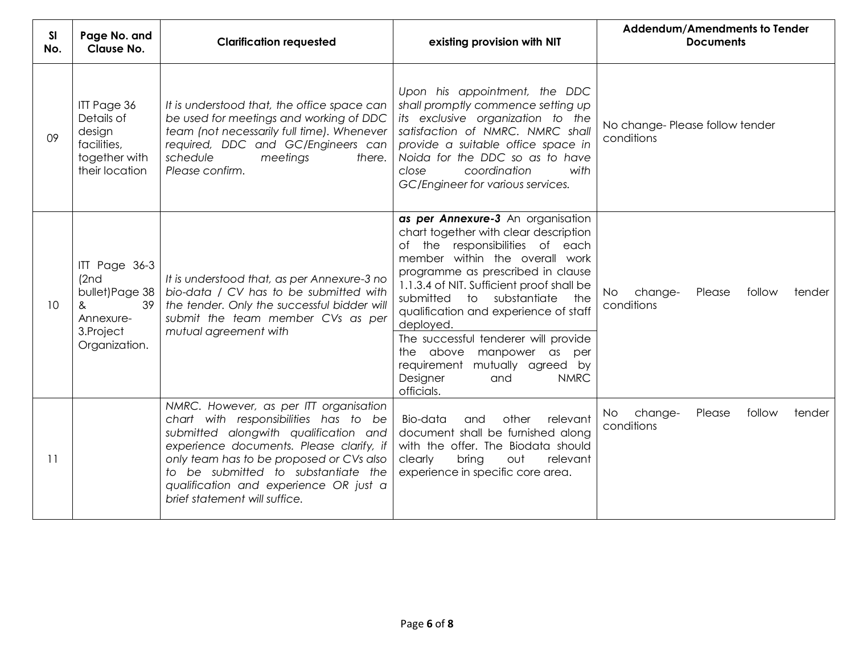| SI<br>No. | Page No. and<br><b>Clause No.</b>                                                               | <b>Clarification requested</b>                                                                                                                                                                                                                                                                                                     | existing provision with NIT                                                                                                                                                                                                                                                                                                                                                                                                                                                           | Addendum/Amendments to Tender<br><b>Documents</b>                |
|-----------|-------------------------------------------------------------------------------------------------|------------------------------------------------------------------------------------------------------------------------------------------------------------------------------------------------------------------------------------------------------------------------------------------------------------------------------------|---------------------------------------------------------------------------------------------------------------------------------------------------------------------------------------------------------------------------------------------------------------------------------------------------------------------------------------------------------------------------------------------------------------------------------------------------------------------------------------|------------------------------------------------------------------|
| 09        | ITT Page 36<br>Details of<br>design<br>facilities,<br>together with<br>their location           | It is understood that, the office space can<br>be used for meetings and working of DDC<br>team (not necessarily full time). Whenever<br>required, DDC and GC/Engineers can<br>schedule<br>meetings<br>there.<br>Please confirm.                                                                                                    | Upon his appointment, the DDC<br>shall promptly commence setting up<br>its exclusive organization to the<br>satisfaction of NMRC. NMRC shall<br>provide a suitable office space in<br>Noida for the DDC so as to have<br>coordination<br>close<br>with<br>GC/Engineer for various services.                                                                                                                                                                                           | No change-Please follow tender<br>conditions                     |
| 10        | ITT Page 36-3<br>(2nd)<br>bullet) Page 38<br>39<br>&<br>Annexure-<br>3.Project<br>Organization. | It is understood that, as per Annexure-3 no<br>bio-data / CV has to be submitted with<br>the tender. Only the successful bidder will<br>submit the team member CVs as per<br>mutual agreement with                                                                                                                                 | as per Annexure-3 An organisation<br>chart together with clear description<br>of the responsibilities of each<br>member within the overall work<br>programme as prescribed in clause<br>1.1.3.4 of NIT. Sufficient proof shall be<br>to substantiate<br>submitted<br>the<br>qualification and experience of staff<br>deployed.<br>The successful tenderer will provide<br>the above manpower as per<br>requirement mutually agreed by<br><b>NMRC</b><br>Designer<br>and<br>officials. | <b>No</b><br>change-<br>Please<br>follow<br>tender<br>conditions |
| 11        |                                                                                                 | NMRC. However, as per ITT organisation<br>chart with responsibilities has to be<br>submitted alongwith qualification and<br>experience documents. Please clarify, if<br>only team has to be proposed or CVs also<br>to be submitted to substantiate the<br>qualification and experience OR just a<br>brief statement will suffice. | Bio-data<br>other<br>relevant<br>and<br>document shall be furnished along<br>with the offer. The Biodata should<br>bring<br>clearly<br>out<br>relevant<br>experience in specific core area.                                                                                                                                                                                                                                                                                           | change-<br>Please<br>follow<br>No.<br>tender<br>conditions       |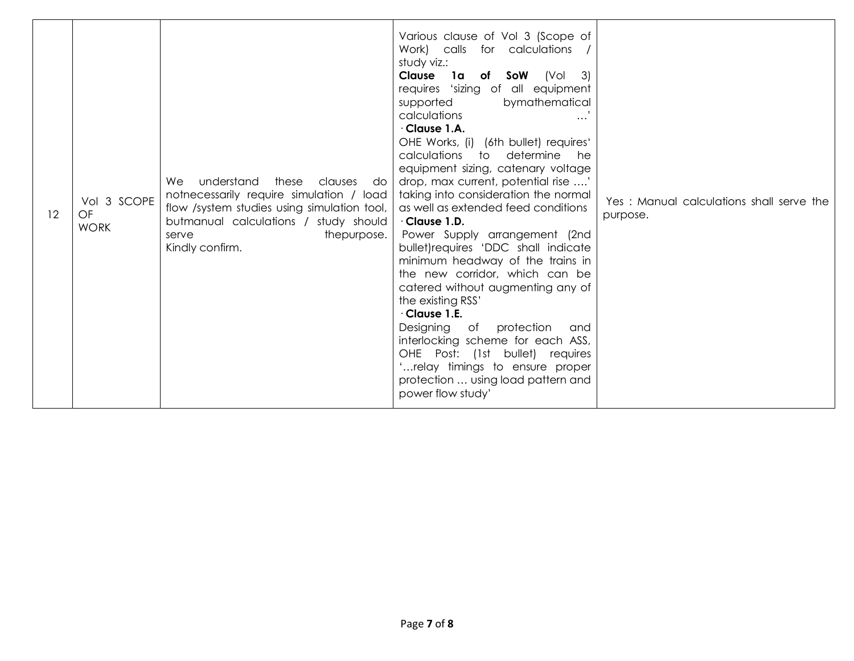| 12 | Vol 3 SCOPE<br>OF<br><b>WORK</b> | understand<br>these clauses do<br>We.<br>notnecessarily require simulation / load<br>flow /system studies using simulation tool,<br>butmanual calculations / study should<br>thepurpose.<br>serve<br>Kindly confirm. | Various clause of Vol 3 (Scope of<br>Work) calls for calculations<br>study viz.:<br><b>Clause 1a of SoW</b> (Vol 3)<br>requires 'sizing of all equipment<br>bymathematical<br>supported<br>calculations<br>$\cdots$<br>$\cdot$ Clause 1.A.<br>OHE Works, (i) (6th bullet) requires'<br>calculations to determine<br>he<br>equipment sizing, catenary voltage<br>drop, max current, potential rise '<br>taking into consideration the normal<br>as well as extended feed conditions<br>$\cdot$ Clause 1.D.<br>Power Supply arrangement (2nd<br>bullet) requires 'DDC shall indicate<br>minimum headway of the trains in<br>the new corridor, which can be<br>catered without augmenting any of<br>the existing RSS'<br>$\cdot$ Clause 1.E.<br>Designing of protection<br>and<br>interlocking scheme for each ASS,<br>OHE Post: (1st bullet) requires<br>relay timings to ensure proper<br>protection  using load pattern and<br>power flow study' | Yes: Manual calculations shall serve the<br>purpose. |
|----|----------------------------------|----------------------------------------------------------------------------------------------------------------------------------------------------------------------------------------------------------------------|--------------------------------------------------------------------------------------------------------------------------------------------------------------------------------------------------------------------------------------------------------------------------------------------------------------------------------------------------------------------------------------------------------------------------------------------------------------------------------------------------------------------------------------------------------------------------------------------------------------------------------------------------------------------------------------------------------------------------------------------------------------------------------------------------------------------------------------------------------------------------------------------------------------------------------------------------|------------------------------------------------------|